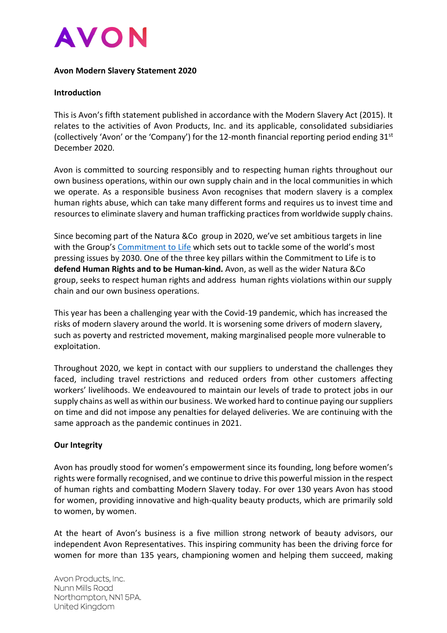

#### **Avon Modern Slavery Statement 2020**

#### **Introduction**

This is Avon's fifth statement published in accordance with the Modern Slavery Act (2015). It relates to the activities of Avon Products, Inc. and its applicable, consolidated subsidiaries (collectively 'Avon' or the 'Company') for the 12-month financial reporting period ending  $31<sup>st</sup>$ December 2020.

Avon is committed to sourcing responsibly and to respecting human rights throughout our own business operations, within our own supply chain and in the local communities in which we operate. As a responsible business Avon recognises that modern slavery is a complex human rights abuse, which can take many different forms and requires us to invest time and resources to eliminate slavery and human trafficking practices from worldwide supply chains.

Since becoming part of the Natura &Co group in 2020, we've set ambitious targets in line with the Group's [Commitment to Life](https://naturaeco.com/en/group/vision/) which sets out to tackle some of the world's most pressing issues by 2030. One of the three key pillars within the Commitment to Life is to **defend Human Rights and to be Human-kind.** Avon, as well as the wider Natura &Co group, seeks to respect human rights and address human rights violations within our supply chain and our own business operations.

This year has been a challenging year with the Covid-19 pandemic, which has increased the risks of modern slavery around the world. It is worsening some drivers of modern slavery, such as poverty and restricted movement, making marginalised people more vulnerable to exploitation.

Throughout 2020, we kept in contact with our suppliers to understand the challenges they faced, including travel restrictions and reduced orders from other customers affecting workers' livelihoods. We endeavoured to maintain our levels of trade to protect jobs in our supply chains as well as within our business. We worked hard to continue paying our suppliers on time and did not impose any penalties for delayed deliveries. We are continuing with the same approach as the pandemic continues in 2021.

#### **Our Integrity**

Avon has proudly stood for women's empowerment since its founding, long before women's rights were formally recognised, and we continue to drive this powerful mission in the respect of human rights and combatting Modern Slavery today. For over 130 years Avon has stood for women, providing innovative and high-quality beauty products, which are primarily sold to women, by women.

At the heart of Avon's business is a five million strong network of beauty advisors, our independent Avon Representatives. This inspiring community has been the driving force for women for more than 135 years, championing women and helping them succeed, making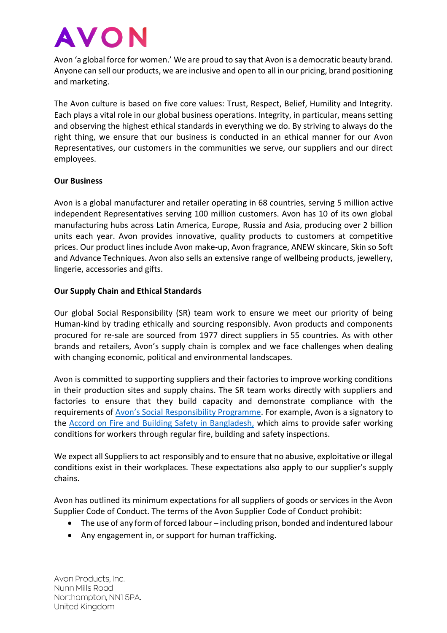Avon 'a global force for women.' We are proud to say that Avon is a democratic beauty brand. Anyone can sell our products, we are inclusive and open to all in our pricing, brand positioning and marketing.

The Avon culture is based on five core values: Trust, Respect, Belief, Humility and Integrity. Each plays a vital role in our global business operations. Integrity, in particular, means setting and observing the highest ethical standards in everything we do. By striving to always do the right thing, we ensure that our business is conducted in an ethical manner for our Avon Representatives, our customers in the communities we serve, our suppliers and our direct employees.

## **Our Business**

Avon is a global manufacturer and retailer operating in 68 countries, serving 5 million active independent Representatives serving 100 million customers. Avon has 10 of its own global manufacturing hubs across Latin America, Europe, Russia and Asia, producing over 2 billion units each year. Avon provides innovative, quality products to customers at competitive prices. Our product lines include Avon make-up, Avon fragrance, ANEW skincare, Skin so Soft and Advance Techniques. Avon also sells an extensive range of wellbeing products, jewellery, lingerie, accessories and gifts.

# **Our Supply Chain and Ethical Standards**

Our global Social Responsibility (SR) team work to ensure we meet our priority of being Human-kind by trading ethically and sourcing responsibly. Avon products and components procured for re-sale are sourced from 1977 direct suppliers in 55 countries. As with other brands and retailers, Avon's supply chain is complex and we face challenges when dealing with changing economic, political and environmental landscapes.

Avon is committed to supporting suppliers and their factories to improve working conditions in their production sites and supply chains. The SR team works directly with suppliers and factories to ensure that they build capacity and demonstrate compliance with the requirements of [Avon's Social Responsibility Programme](https://www.avonworldwide.com/responsible-business/operating-responsibly/responsible-suppliers.html). For example, Avon is a signatory to the [Accord on Fire and Building Safety in Bangladesh,](https://bangladeshaccord.org/) which aims to provide safer working conditions for workers through regular fire, building and safety inspections.

We expect all Suppliers to act responsibly and to ensure that no abusive, exploitative or illegal conditions exist in their workplaces. These expectations also apply to our supplier's supply chains.

Avon has outlined its minimum expectations for all suppliers of goods or services in the Avon Supplier Code of Conduct. The terms of the Avon Supplier Code of Conduct prohibit:

- The use of any form of forced labour including prison, bonded and indentured labour
- Any engagement in, or support for human trafficking.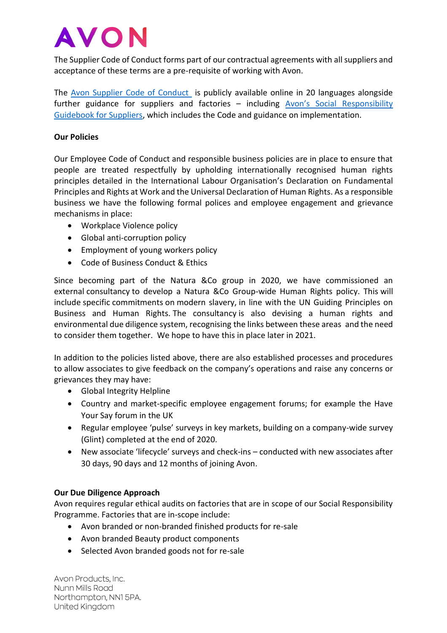The Supplier Code of Conduct forms part of our contractual agreements with all suppliers and acceptance of these terms are a pre-requisite of working with Avon.

The [Avon Supplier Code of Conduct](https://www.avonworldwide.com/responsible-business/operating-responsibly/responsible-suppliers.html) is publicly available online in 20 languages alongside further guidance for suppliers and factories – including [Avon's Social Responsibility](https://www.avonworldwide.com/responsible-business/operating-responsibly/responsible-suppliers.html)  [Guidebook for Suppliers,](https://www.avonworldwide.com/responsible-business/operating-responsibly/responsible-suppliers.html) which includes the Code and guidance on implementation.

# **Our Policies**

Our Employee Code of Conduct and responsible business policies are in place to ensure that people are treated respectfully by upholding internationally recognised human rights principles detailed in the International Labour Organisation's Declaration on Fundamental Principles and Rights at Work and the Universal Declaration of Human Rights. As a responsible business we have the following formal polices and employee engagement and grievance mechanisms in place:

- Workplace Violence policy
- Global anti-corruption policy
- Employment of young workers policy
- Code of Business Conduct & Ethics

Since becoming part of the Natura &Co group in 2020, we have commissioned an external consultancy to develop a Natura &Co Group-wide Human Rights policy. This will include specific commitments on modern slavery, in line with the UN Guiding Principles on Business and Human Rights. The consultancy is also devising a human rights and environmental due diligence system, recognising the links between these areas and the need to consider them together. We hope to have this in place later in 2021.

In addition to the policies listed above, there are also established processes and procedures to allow associates to give feedback on the company's operations and raise any concerns or grievances they may have:

- Global Integrity Helpline
- Country and market-specific employee engagement forums; for example the Have Your Say forum in the UK
- Regular employee 'pulse' surveys in key markets, building on a company-wide survey (Glint) completed at the end of 2020.
- New associate 'lifecycle' surveys and check-ins conducted with new associates after 30 days, 90 days and 12 months of joining Avon.

## **Our Due Diligence Approach**

Avon requires regular ethical audits on factories that are in scope of our Social Responsibility Programme. Factories that are in-scope include:

- Avon branded or non-branded finished products for re-sale
- Avon branded Beauty product components
- Selected Avon branded goods not for re-sale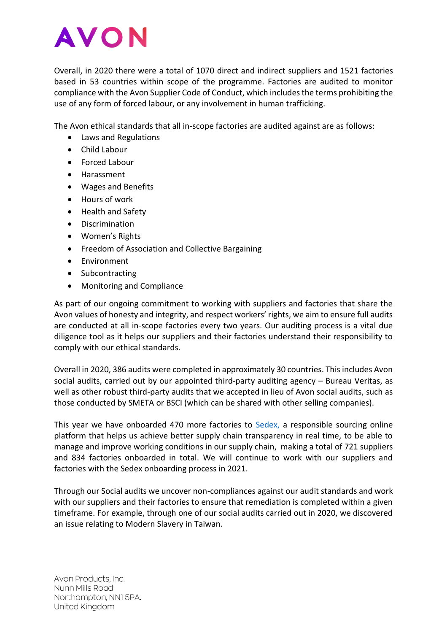Overall, in 2020 there were a total of 1070 direct and indirect suppliers and 1521 factories based in 53 countries within scope of the programme. Factories are audited to monitor compliance with the Avon Supplier Code of Conduct, which includes the terms prohibiting the use of any form of forced labour, or any involvement in human trafficking.

The Avon ethical standards that all in-scope factories are audited against are as follows:

- Laws and Regulations
- Child Labour
- Forced Labour
- Harassment
- Wages and Benefits
- Hours of work
- Health and Safety
- Discrimination
- Women's Rights
- Freedom of Association and Collective Bargaining
- Environment
- Subcontracting
- Monitoring and Compliance

As part of our ongoing commitment to working with suppliers and factories that share the Avon values of honesty and integrity, and respect workers' rights, we aim to ensure full audits are conducted at all in-scope factories every two years. Our auditing process is a vital due diligence tool as it helps our suppliers and their factories understand their responsibility to comply with our ethical standards.

Overall in 2020, 386 audits were completed in approximately 30 countries. This includes Avon social audits, carried out by our appointed third-party auditing agency – Bureau Veritas, as well as other robust third-party audits that we accepted in lieu of Avon social audits, such as those conducted by SMETA or BSCI (which can be shared with other selling companies).

This year we have onboarded 470 more factories to [Sedex,](https://www.sedex.com/) a responsible sourcing online platform that helps us achieve better supply chain transparency in real time, to be able to manage and improve working conditions in our supply chain, making a total of 721 suppliers and 834 factories onboarded in total. We will continue to work with our suppliers and factories with the Sedex onboarding process in 2021.

Through our Social audits we uncover non-compliances against our audit standards and work with our suppliers and their factories to ensure that remediation is completed within a given timeframe. For example, through one of our social audits carried out in 2020, we discovered an issue relating to Modern Slavery in Taiwan.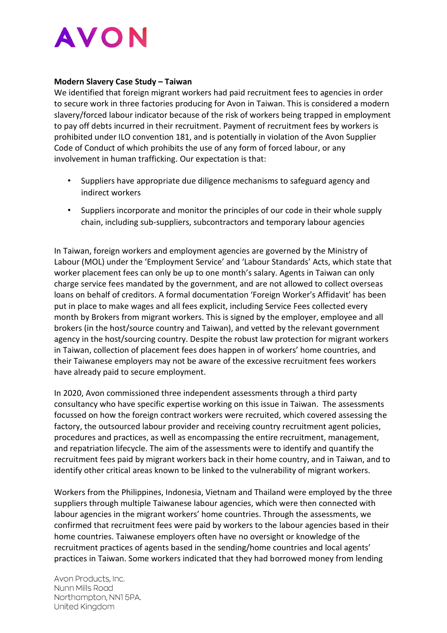

#### **Modern Slavery Case Study – Taiwan**

We identified that foreign migrant workers had paid recruitment fees to agencies in order to secure work in three factories producing for Avon in Taiwan. This is considered a modern slavery/forced labour indicator because of the risk of workers being trapped in employment to pay off debts incurred in their recruitment. Payment of recruitment fees by workers is prohibited under ILO convention 181, and is potentially in violation of the Avon Supplier Code of Conduct of which prohibits the use of any form of forced labour, or any involvement in human trafficking. Our expectation is that:

- Suppliers have appropriate due diligence mechanisms to safeguard agency and indirect workers
- Suppliers incorporate and monitor the principles of our code in their whole supply chain, including sub-suppliers, subcontractors and temporary labour agencies

In Taiwan, foreign workers and employment agencies are governed by the Ministry of Labour (MOL) under the 'Employment Service' and 'Labour Standards' Acts, which state that worker placement fees can only be up to one month's salary. Agents in Taiwan can only charge service fees mandated by the government, and are not allowed to collect overseas loans on behalf of creditors. A formal documentation 'Foreign Worker's Affidavit' has been put in place to make wages and all fees explicit, including Service Fees collected every month by Brokers from migrant workers. This is signed by the employer, employee and all brokers (in the host/source country and Taiwan), and vetted by the relevant government agency in the host/sourcing country. Despite the robust law protection for migrant workers in Taiwan, collection of placement fees does happen in of workers' home countries, and their Taiwanese employers may not be aware of the excessive recruitment fees workers have already paid to secure employment.

In 2020, Avon commissioned three independent assessments through a third party consultancy who have specific expertise working on this issue in Taiwan. The assessments focussed on how the foreign contract workers were recruited, which covered assessing the factory, the outsourced labour provider and receiving country recruitment agent policies, procedures and practices, as well as encompassing the entire recruitment, management, and repatriation lifecycle. The aim of the assessments were to identify and quantify the recruitment fees paid by migrant workers back in their home country, and in Taiwan, and to identify other critical areas known to be linked to the vulnerability of migrant workers.

Workers from the Philippines, Indonesia, Vietnam and Thailand were employed by the three suppliers through multiple Taiwanese labour agencies, which were then connected with labour agencies in the migrant workers' home countries. Through the assessments, we confirmed that recruitment fees were paid by workers to the labour agencies based in their home countries. Taiwanese employers often have no oversight or knowledge of the recruitment practices of agents based in the sending/home countries and local agents' practices in Taiwan. Some workers indicated that they had borrowed money from lending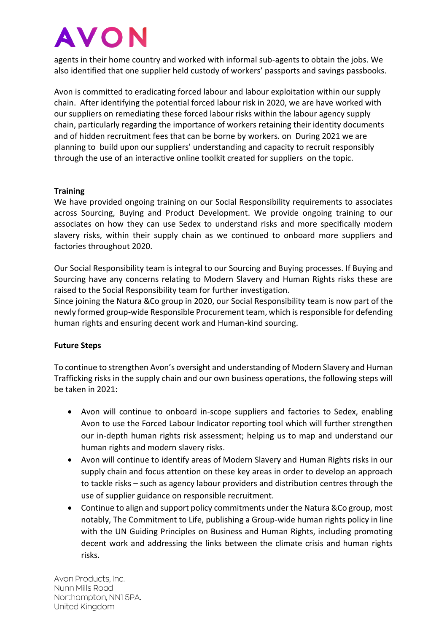agents in their home country and worked with informal sub-agents to obtain the jobs. We also identified that one supplier held custody of workers' passports and savings passbooks.

Avon is committed to eradicating forced labour and labour exploitation within our supply chain. After identifying the potential forced labour risk in 2020, we are have worked with our suppliers on remediating these forced labour risks within the labour agency supply chain, particularly regarding the importance of workers retaining their identity documents and of hidden recruitment fees that can be borne by workers. on During 2021 we are planning to build upon our suppliers' understanding and capacity to recruit responsibly through the use of an interactive online toolkit created for suppliers on the topic.

## **Training**

We have provided ongoing training on our Social Responsibility requirements to associates across Sourcing, Buying and Product Development. We provide ongoing training to our associates on how they can use Sedex to understand risks and more specifically modern slavery risks, within their supply chain as we continued to onboard more suppliers and factories throughout 2020.

Our Social Responsibility team is integral to our Sourcing and Buying processes. If Buying and Sourcing have any concerns relating to Modern Slavery and Human Rights risks these are raised to the Social Responsibility team for further investigation.

Since joining the Natura &Co group in 2020, our Social Responsibility team is now part of the newly formed group-wide Responsible Procurement team, which is responsible for defending human rights and ensuring decent work and Human-kind sourcing.

## **Future Steps**

To continue to strengthen Avon's oversight and understanding of Modern Slavery and Human Trafficking risks in the supply chain and our own business operations, the following steps will be taken in 2021:

- Avon will continue to onboard in-scope suppliers and factories to Sedex, enabling Avon to use the Forced Labour Indicator reporting tool which will further strengthen our in-depth human rights risk assessment; helping us to map and understand our human rights and modern slavery risks.
- Avon will continue to identify areas of Modern Slavery and Human Rights risks in our supply chain and focus attention on these key areas in order to develop an approach to tackle risks – such as agency labour providers and distribution centres through the use of supplier guidance on responsible recruitment.
- Continue to align and support policy commitments under the Natura &Co group, most notably, The Commitment to Life, publishing a Group-wide human rights policy in line with the UN Guiding Principles on Business and Human Rights, including promoting decent work and addressing the links between the climate crisis and human rights risks.